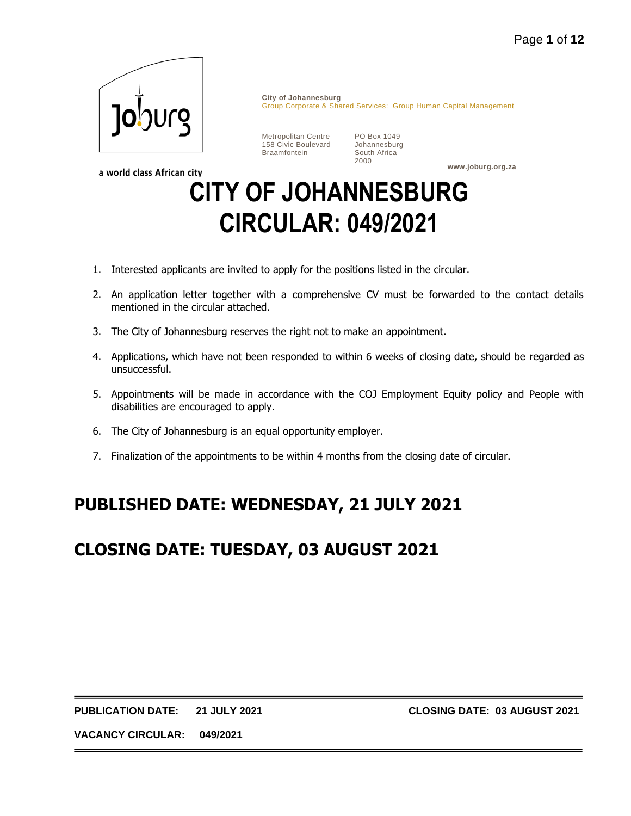

a world class African city

**City of Johannesburg** Group Corporate & Shared Services: Group Human Capital Management

Metropolitan Centre 158 Civic Boulevard Braamfontein

PO Box 1049 Johannesburg South Africa 2000

**www.joburg.org.za**

# **CITY OF JOHANNESBURG CIRCULAR: 049/2021**

- 1. Interested applicants are invited to apply for the positions listed in the circular.
- 2. An application letter together with a comprehensive CV must be forwarded to the contact details mentioned in the circular attached.
- 3. The City of Johannesburg reserves the right not to make an appointment.
- 4. Applications, which have not been responded to within 6 weeks of closing date, should be regarded as unsuccessful.
- 5. Appointments will be made in accordance with the COJ Employment Equity policy and People with disabilities are encouraged to apply.
- 6. The City of Johannesburg is an equal opportunity employer.
- 7. Finalization of the appointments to be within 4 months from the closing date of circular.

# **PUBLISHED DATE: WEDNESDAY, 21 JULY 2021**

# **CLOSING DATE: TUESDAY, 03 AUGUST 2021**

**PUBLICATION DATE: 21 JULY 2021 CLOSING DATE: 03 AUGUST 2021**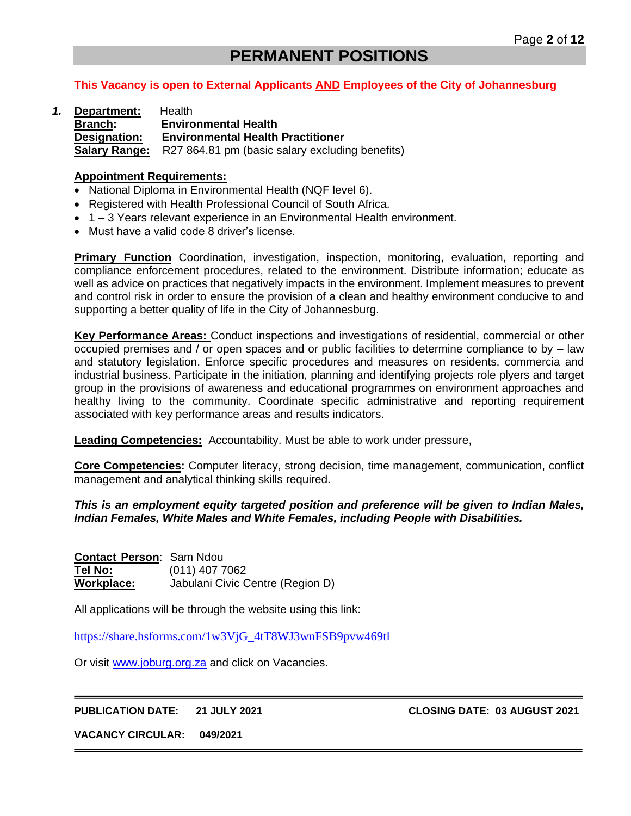# **PERMANENT POSITIONS**

# **This Vacancy is open to External Applicants AND Employees of the City of Johannesburg**

*1.* **Department:** Health **Branch: Environmental Health Designation: Environmental Health Practitioner Salary Range:** R27 864.81 pm (basic salary excluding benefits)

#### **Appointment Requirements:**

- National Diploma in Environmental Health (NQF level 6).
- Registered with Health Professional Council of South Africa.
- 1 3 Years relevant experience in an Environmental Health environment.
- Must have a valid code 8 driver's license.

**Primary Function** Coordination, investigation, inspection, monitoring, evaluation, reporting and compliance enforcement procedures, related to the environment. Distribute information; educate as well as advice on practices that negatively impacts in the environment. Implement measures to prevent and control risk in order to ensure the provision of a clean and healthy environment conducive to and supporting a better quality of life in the City of Johannesburg.

**Key Performance Areas:** Conduct inspections and investigations of residential, commercial or other occupied premises and / or open spaces and or public facilities to determine compliance to by – law and statutory legislation. Enforce specific procedures and measures on residents, commercia and industrial business. Participate in the initiation, planning and identifying projects role plyers and target group in the provisions of awareness and educational programmes on environment approaches and healthy living to the community. Coordinate specific administrative and reporting requirement associated with key performance areas and results indicators.

**Leading Competencies:** Accountability. Must be able to work under pressure,

**Core Competencies:** Computer literacy, strong decision, time management, communication, conflict management and analytical thinking skills required.

#### *This is an employment equity targeted position and preference will be given to Indian Males, Indian Females, White Males and White Females, including People with Disabilities.*

**Contact Person**: Sam Ndou **Tel No:** (011) 407 7062 **Workplace:** Jabulani Civic Centre (Region D)

All applications will be through the website using this link:

[https://share.hsforms.com/1w3VjG\\_4tT8WJ3wnFSB9pvw469tl](https://share.hsforms.com/1w3VjG_4tT8WJ3wnFSB9pvw469tl)

Or visit [www.joburg.org.za](http://www.joburg.org.za/) and click on Vacancies.

**PUBLICATION DATE: 21 JULY 2021 CLOSING DATE: 03 AUGUST 2021**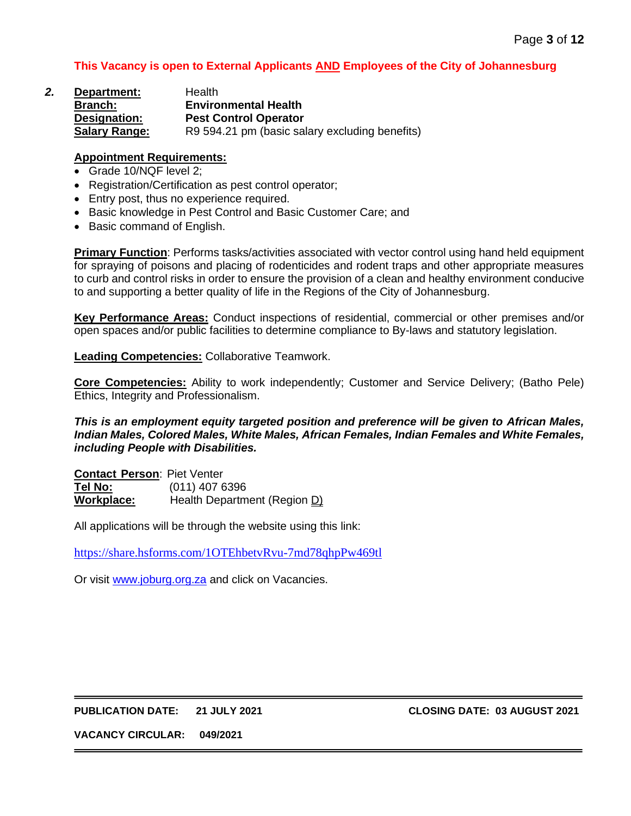| 2. | Department:          | Health                                         |
|----|----------------------|------------------------------------------------|
|    | <b>Branch:</b>       | <b>Environmental Health</b>                    |
|    | Designation:         | <b>Pest Control Operator</b>                   |
|    | <b>Salary Range:</b> | R9 594.21 pm (basic salary excluding benefits) |

#### **Appointment Requirements:**

- Grade 10/NQF level 2;
- Registration/Certification as pest control operator;
- Entry post, thus no experience required.
- Basic knowledge in Pest Control and Basic Customer Care; and
- Basic command of English.

**Primary Function**: Performs tasks/activities associated with vector control using hand held equipment for spraying of poisons and placing of rodenticides and rodent traps and other appropriate measures to curb and control risks in order to ensure the provision of a clean and healthy environment conducive to and supporting a better quality of life in the Regions of the City of Johannesburg.

**Key Performance Areas:** Conduct inspections of residential, commercial or other premises and/or open spaces and/or public facilities to determine compliance to By-laws and statutory legislation.

**Leading Competencies:** Collaborative Teamwork.

**Core Competencies:** Ability to work independently; Customer and Service Delivery; (Batho Pele) Ethics, Integrity and Professionalism.

*This is an employment equity targeted position and preference will be given to African Males, Indian Males, Colored Males, White Males, African Females, Indian Females and White Females, including People with Disabilities.*

**Contact Person**: Piet Venter **Tel No:** (011) 407 6396 **Workplace:** Health Department (Region D)

All applications will be through the website using this link:

<https://share.hsforms.com/1OTEhbetvRvu-7md78qhpPw469tl>

Or visit [www.joburg.org.za](http://www.joburg.org.za/) and click on Vacancies.

#### **PUBLICATION DATE: 21 JULY 2021 CLOSING DATE: 03 AUGUST 2021**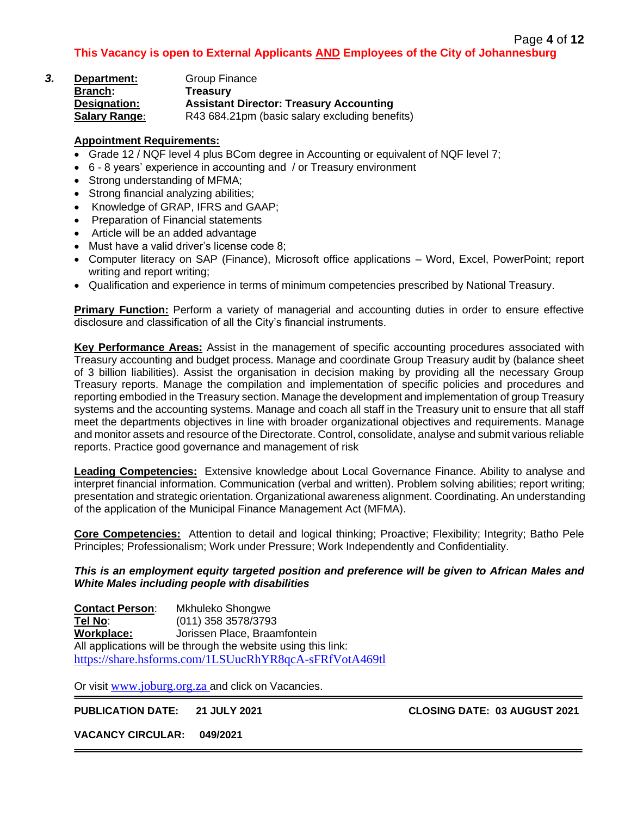| З. | Department:          | Group Finance                                  |
|----|----------------------|------------------------------------------------|
|    | <b>Branch:</b>       | Treasury                                       |
|    | Designation:         | <b>Assistant Director: Treasury Accounting</b> |
|    | <b>Salary Range:</b> | R43 684.21pm (basic salary excluding benefits) |

# **Appointment Requirements:**

- Grade 12 / NQF level 4 plus BCom degree in Accounting or equivalent of NQF level 7;
- 6 8 years' experience in accounting and / or Treasury environment
- Strong understanding of MFMA;
- Strong financial analyzing abilities;
- Knowledge of GRAP, IFRS and GAAP;
- Preparation of Financial statements
- Article will be an added advantage
- Must have a valid driver's license code 8;
- Computer literacy on SAP (Finance), Microsoft office applications Word, Excel, PowerPoint; report writing and report writing;
- Qualification and experience in terms of minimum competencies prescribed by National Treasury.

**Primary Function:** Perform a variety of managerial and accounting duties in order to ensure effective disclosure and classification of all the City's financial instruments.

**Key Performance Areas:** Assist in the management of specific accounting procedures associated with Treasury accounting and budget process. Manage and coordinate Group Treasury audit by (balance sheet of 3 billion liabilities). Assist the organisation in decision making by providing all the necessary Group Treasury reports. Manage the compilation and implementation of specific policies and procedures and reporting embodied in the Treasury section. Manage the development and implementation of group Treasury systems and the accounting systems. Manage and coach all staff in the Treasury unit to ensure that all staff meet the departments objectives in line with broader organizational objectives and requirements. Manage and monitor assets and resource of the Directorate. Control, consolidate, analyse and submit various reliable reports. Practice good governance and management of risk

**Leading Competencies:** Extensive knowledge about Local Governance Finance. Ability to analyse and interpret financial information. Communication (verbal and written). Problem solving abilities; report writing; presentation and strategic orientation. Organizational awareness alignment. Coordinating. An understanding of the application of the Municipal Finance Management Act (MFMA).

**Core Competencies:** Attention to detail and logical thinking; Proactive; Flexibility; Integrity; Batho Pele Principles; Professionalism; Work under Pressure; Work Independently and Confidentiality.

#### *This is an employment equity targeted position and preference will be given to African Males and White Males including people with disabilities*

**Contact Person**: Mkhuleko Shongwe **Tel No**: (011) 358 3578/3793 **Workplace:** Jorissen Place, Braamfontein All applications will be through the website using this link: <https://share.hsforms.com/1LSUucRhYR8qcA-sFRfVotA469tl>

Or visit [www.joburg.org.za](http://www.joburg.org.za/) and click on Vacancies.

**PUBLICATION DATE: 21 JULY 2021 CLOSING DATE: 03 AUGUST 2021**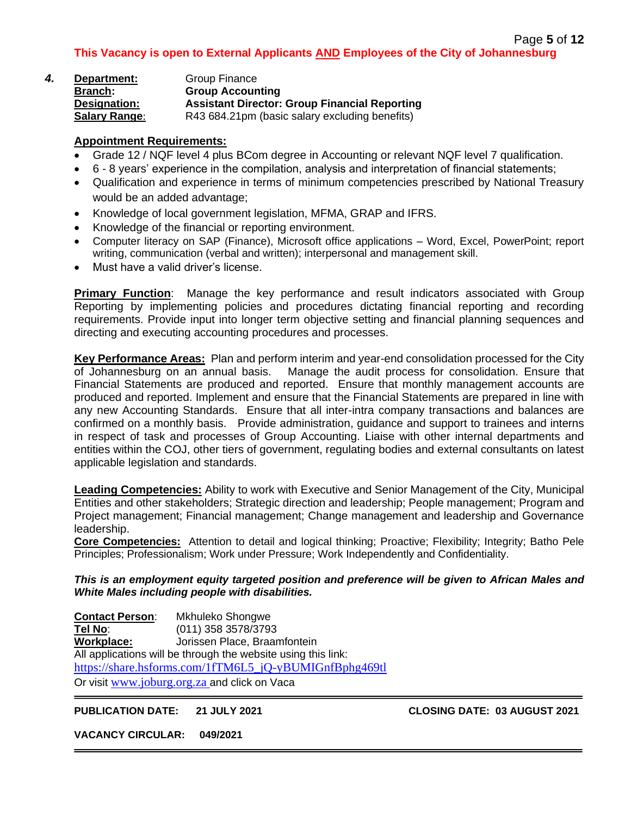| 4. | Department:          | Group Finance                                        |
|----|----------------------|------------------------------------------------------|
|    | <b>Branch:</b>       | <b>Group Accounting</b>                              |
|    | Designation:         | <b>Assistant Director: Group Financial Reporting</b> |
|    | <b>Salary Range:</b> | R43 684.21pm (basic salary excluding benefits)       |

# **Appointment Requirements:**

- Grade 12 / NQF level 4 plus BCom degree in Accounting or relevant NQF level 7 qualification.
- 6 8 years' experience in the compilation, analysis and interpretation of financial statements;
- Qualification and experience in terms of minimum competencies prescribed by National Treasury would be an added advantage;
- Knowledge of local government legislation, MFMA, GRAP and IFRS.
- Knowledge of the financial or reporting environment.
- Computer literacy on SAP (Finance), Microsoft office applications Word, Excel, PowerPoint; report writing, communication (verbal and written); interpersonal and management skill.
- Must have a valid driver's license.

**Primary Function**: Manage the key performance and result indicators associated with Group Reporting by implementing policies and procedures dictating financial reporting and recording requirements. Provide input into longer term objective setting and financial planning sequences and directing and executing accounting procedures and processes.

**Key Performance Areas:** Plan and perform interim and year-end consolidation processed for the City of Johannesburg on an annual basis. Manage the audit process for consolidation. Ensure that Financial Statements are produced and reported. Ensure that monthly management accounts are produced and reported. Implement and ensure that the Financial Statements are prepared in line with any new Accounting Standards. Ensure that all inter-intra company transactions and balances are confirmed on a monthly basis. Provide administration, guidance and support to trainees and interns in respect of task and processes of Group Accounting. Liaise with other internal departments and entities within the COJ, other tiers of government, regulating bodies and external consultants on latest applicable legislation and standards.

**Leading Competencies:** Ability to work with Executive and Senior Management of the City, Municipal Entities and other stakeholders; Strategic direction and leadership; People management; Program and Project management; Financial management; Change management and leadership and Governance leadership.

**Core Competencies:** Attention to detail and logical thinking; Proactive; Flexibility; Integrity; Batho Pele Principles; Professionalism; Work under Pressure; Work Independently and Confidentiality.

#### *This is an employment equity targeted position and preference will be given to African Males and White Males including people with disabilities.*

**Contact Person**: Mkhuleko Shongwe **Tel No**: (011) 358 3578/3793 **Workplace:** Jorissen Place, Braamfontein All applications will be through the website using this link: [https://share.hsforms.com/1fTM6L5\\_jQ-yBUMIGnfBphg469tl](https://share.hsforms.com/1fTM6L5_jQ-yBUMIGnfBphg469tl) Or visit [www.joburg.org.za](http://www.joburg.org.za/) and click on Vaca

#### **PUBLICATION DATE: 21 JULY 2021 CLOSING DATE: 03 AUGUST 2021**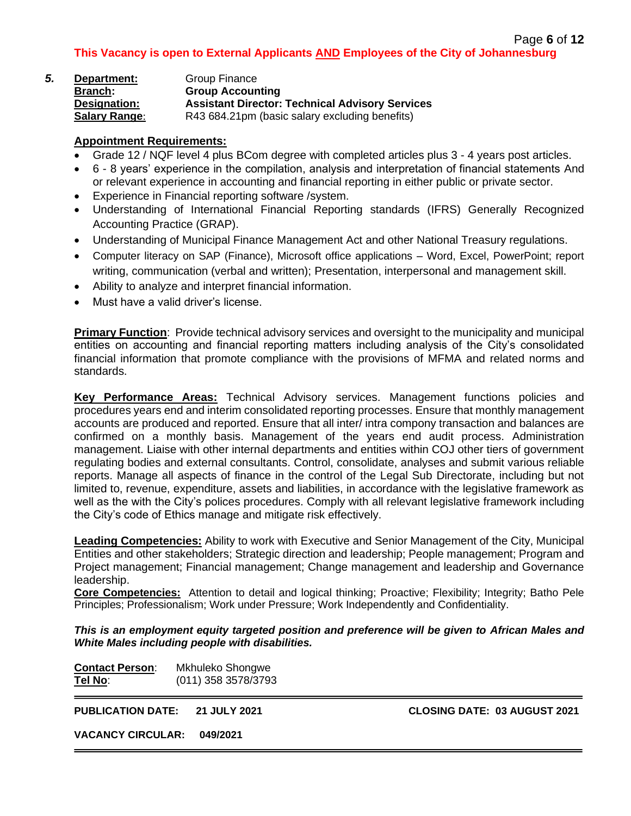| 5. | Department:          | Group Finance                                          |
|----|----------------------|--------------------------------------------------------|
|    | <b>Branch:</b>       | <b>Group Accounting</b>                                |
|    | Designation:         | <b>Assistant Director: Technical Advisory Services</b> |
|    | <b>Salary Range:</b> | R43 684.21pm (basic salary excluding benefits)         |

# **Appointment Requirements:**

- Grade 12 / NQF level 4 plus BCom degree with completed articles plus 3 4 years post articles.
- 6 8 years' experience in the compilation, analysis and interpretation of financial statements And or relevant experience in accounting and financial reporting in either public or private sector.
- Experience in Financial reporting software /system.
- Understanding of International Financial Reporting standards (IFRS) Generally Recognized Accounting Practice (GRAP).
- Understanding of Municipal Finance Management Act and other National Treasury regulations.
- Computer literacy on SAP (Finance), Microsoft office applications Word, Excel, PowerPoint; report writing, communication (verbal and written); Presentation, interpersonal and management skill.
- Ability to analyze and interpret financial information.
- Must have a valid driver's license.

**Primary Function**: Provide technical advisory services and oversight to the municipality and municipal entities on accounting and financial reporting matters including analysis of the City's consolidated financial information that promote compliance with the provisions of MFMA and related norms and standards.

**Key Performance Areas:** Technical Advisory services. Management functions policies and procedures years end and interim consolidated reporting processes. Ensure that monthly management accounts are produced and reported. Ensure that all inter/ intra compony transaction and balances are confirmed on a monthly basis. Management of the years end audit process. Administration management. Liaise with other internal departments and entities within COJ other tiers of government regulating bodies and external consultants. Control, consolidate, analyses and submit various reliable reports. Manage all aspects of finance in the control of the Legal Sub Directorate, including but not limited to, revenue, expenditure, assets and liabilities, in accordance with the legislative framework as well as the with the City's polices procedures. Comply with all relevant legislative framework including the City's code of Ethics manage and mitigate risk effectively.

**Leading Competencies:** Ability to work with Executive and Senior Management of the City, Municipal Entities and other stakeholders; Strategic direction and leadership; People management; Program and Project management; Financial management; Change management and leadership and Governance leadership.

**Core Competencies:** Attention to detail and logical thinking; Proactive; Flexibility; Integrity; Batho Pele Principles; Professionalism; Work under Pressure; Work Independently and Confidentiality.

*This is an employment equity targeted position and preference will be given to African Males and White Males including people with disabilities.*

| <b>Contact Person:</b> | Mkhuleko Shongwe    |
|------------------------|---------------------|
| Tel No:                | (011) 358 3578/3793 |

**PUBLICATION DATE: 21 JULY 2021 CLOSING DATE: 03 AUGUST 2021**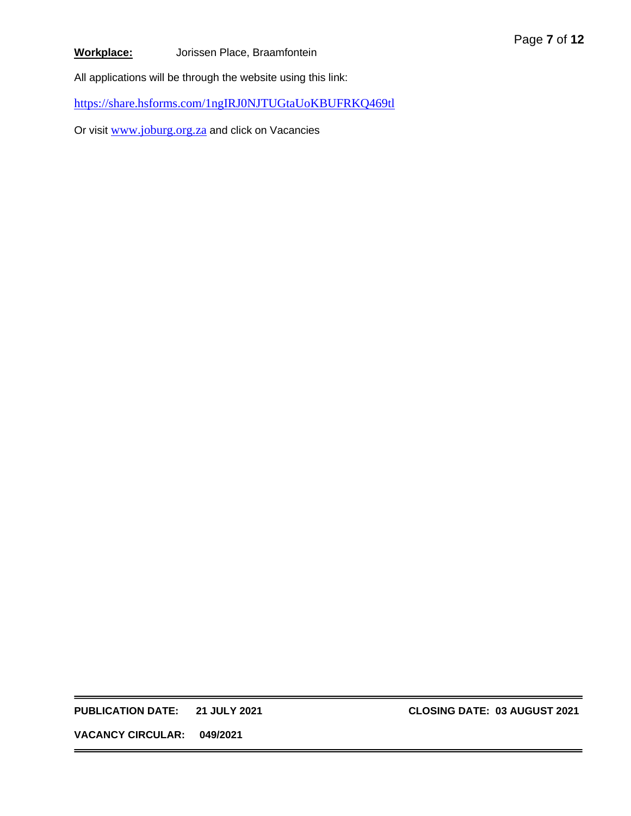# **Workplace:** Jorissen Place, Braamfontein

All applications will be through the website using this link:

<https://share.hsforms.com/1ngIRJ0NJTUGtaUoKBUFRKQ469tl>

Or visit [www.joburg.org.za](http://www.joburg.org.za/) and click on Vacancies

**PUBLICATION DATE: 21 JULY 2021 CLOSING DATE: 03 AUGUST 2021**

Page **7** of **12**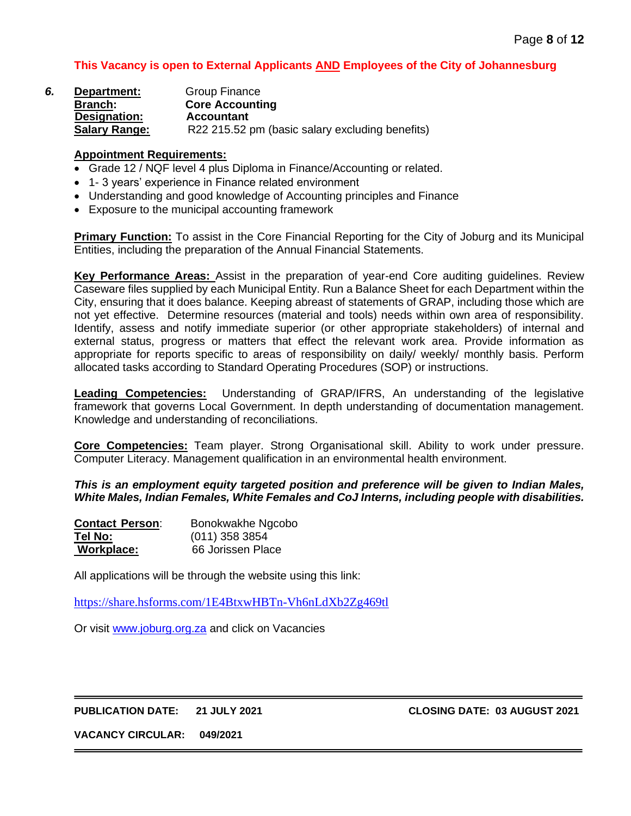| 6. | Department:          | Group Finance                                   |
|----|----------------------|-------------------------------------------------|
|    | <b>Branch:</b>       | <b>Core Accounting</b>                          |
|    | Designation:         | <b>Accountant</b>                               |
|    | <b>Salary Range:</b> | R22 215.52 pm (basic salary excluding benefits) |

#### **Appointment Requirements:**

- Grade 12 / NQF level 4 plus Diploma in Finance/Accounting or related.
- 1- 3 years' experience in Finance related environment
- Understanding and good knowledge of Accounting principles and Finance
- Exposure to the municipal accounting framework

**Primary Function:** To assist in the Core Financial Reporting for the City of Joburg and its Municipal Entities, including the preparation of the Annual Financial Statements.

**Key Performance Areas:** Assist in the preparation of year-end Core auditing guidelines. Review Caseware files supplied by each Municipal Entity. Run a Balance Sheet for each Department within the City, ensuring that it does balance. Keeping abreast of statements of GRAP, including those which are not yet effective. Determine resources (material and tools) needs within own area of responsibility. Identify, assess and notify immediate superior (or other appropriate stakeholders) of internal and external status, progress or matters that effect the relevant work area. Provide information as appropriate for reports specific to areas of responsibility on daily/ weekly/ monthly basis. Perform allocated tasks according to Standard Operating Procedures (SOP) or instructions.

**Leading Competencies:** Understanding of GRAP/IFRS, An understanding of the legislative framework that governs Local Government. In depth understanding of documentation management. Knowledge and understanding of reconciliations.

**Core Competencies:** Team player. Strong Organisational skill. Ability to work under pressure. Computer Literacy. Management qualification in an environmental health environment.

*This is an employment equity targeted position and preference will be given to Indian Males, White Males, Indian Females, White Females and CoJ Interns, including people with disabilities.*

| <b>Contact Person:</b> | Bonokwakhe Ngcobo |
|------------------------|-------------------|
| Tel No:                | $(011)$ 358 3854  |
| Workplace:             | 66 Jorissen Place |

All applications will be through the website using this link:

<https://share.hsforms.com/1E4BtxwHBTn-Vh6nLdXb2Zg469tl>

Or visit [www.joburg.org.za](http://www.joburg.org.za/) and click on Vacancies

**PUBLICATION DATE: 21 JULY 2021 CLOSING DATE: 03 AUGUST 2021**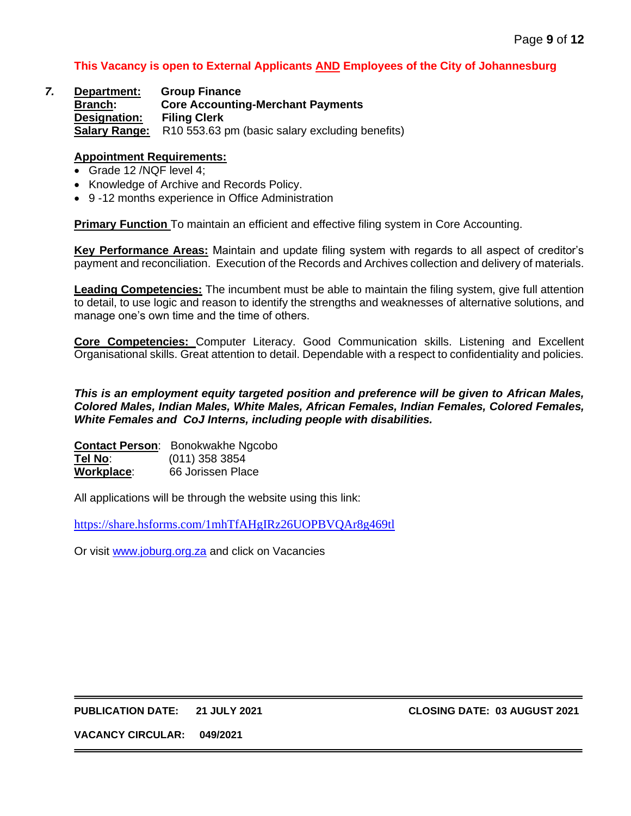#### *7.* **Department:****Group Finance** **Branch: Core Accounting-Merchant Payments Designation: Filing Clerk Salary Range:** R10 553.63 pm (basic salary excluding benefits)

#### **Appointment Requirements:**

- Grade 12 /NQF level 4;
- Knowledge of Archive and Records Policy.
- 9 -12 months experience in Office Administration

**Primary Function** To maintain an efficient and effective filing system in Core Accounting.

**Key Performance Areas:** Maintain and update filing system with regards to all aspect of creditor's payment and reconciliation. Execution of the Records and Archives collection and delivery of materials.

**Leading Competencies:** The incumbent must be able to maintain the filing system, give full attention to detail, to use logic and reason to identify the strengths and weaknesses of alternative solutions, and manage one's own time and the time of others.

**Core Competencies:** Computer Literacy. Good Communication skills. Listening and Excellent Organisational skills. Great attention to detail. Dependable with a respect to confidentiality and policies.

#### *This is an employment equity targeted position and preference will be given to African Males, Colored Males, Indian Males, White Males, African Females, Indian Females, Colored Females, White Females and CoJ Interns, including people with disabilities.*

|                    | <b>Contact Person:</b> Bonokwakhe Ngcobo |
|--------------------|------------------------------------------|
| Tel No:            | $(011)$ 358 3854                         |
| <u> Workplace:</u> | 66 Jorissen Place                        |

All applications will be through the website using this link:

<https://share.hsforms.com/1mhTfAHgIRz26UOPBVQAr8g469tl>

Or visit [www.joburg.org.za](http://www.joburg.org.za/) and click on Vacancies

#### **PUBLICATION DATE: 21 JULY 2021 CLOSING DATE: 03 AUGUST 2021**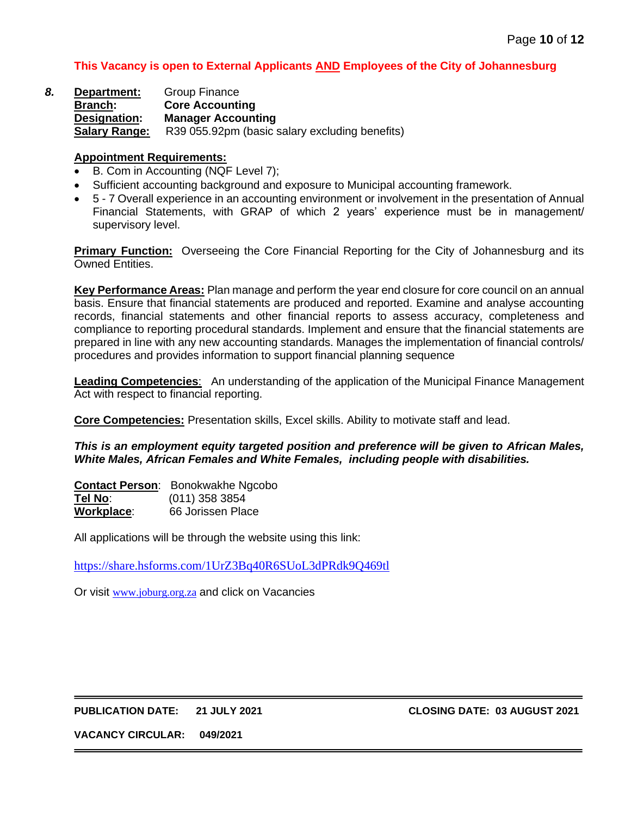*8.* **Department:** Group Finance **Branch: Core Accounting Designation: Manager Accounting Salary Range:** R39 055.92pm (basic salary excluding benefits)

#### **Appointment Requirements:**

- B. Com in Accounting (NQF Level 7);
- Sufficient accounting background and exposure to Municipal accounting framework.
- 5 7 Overall experience in an accounting environment or involvement in the presentation of Annual Financial Statements, with GRAP of which 2 years' experience must be in management/ supervisory level.

**Primary Function:** Overseeing the Core Financial Reporting for the City of Johannesburg and its Owned Entities.

**Key Performance Areas:** Plan manage and perform the year end closure for core council on an annual basis. Ensure that financial statements are produced and reported. Examine and analyse accounting records, financial statements and other financial reports to assess accuracy, completeness and compliance to reporting procedural standards. Implement and ensure that the financial statements are prepared in line with any new accounting standards. Manages the implementation of financial controls/ procedures and provides information to support financial planning sequence

**Leading Competencies**: An understanding of the application of the Municipal Finance Management Act with respect to financial reporting.

**Core Competencies:** Presentation skills, Excel skills. Ability to motivate staff and lead.

*This is an employment equity targeted position and preference will be given to African Males, White Males, African Females and White Females, including people with disabilities.*

**Contact Person**: Bonokwakhe Ngcobo **Tel No**: (011) 358 3854 **Workplace**: 66 Jorissen Place

All applications will be through the website using this link:

<https://share.hsforms.com/1UrZ3Bq40R6SUoL3dPRdk9Q469tl>

Or visit www.joburg.org.za and click on Vacancies

#### **PUBLICATION DATE: 21 JULY 2021 CLOSING DATE: 03 AUGUST 2021**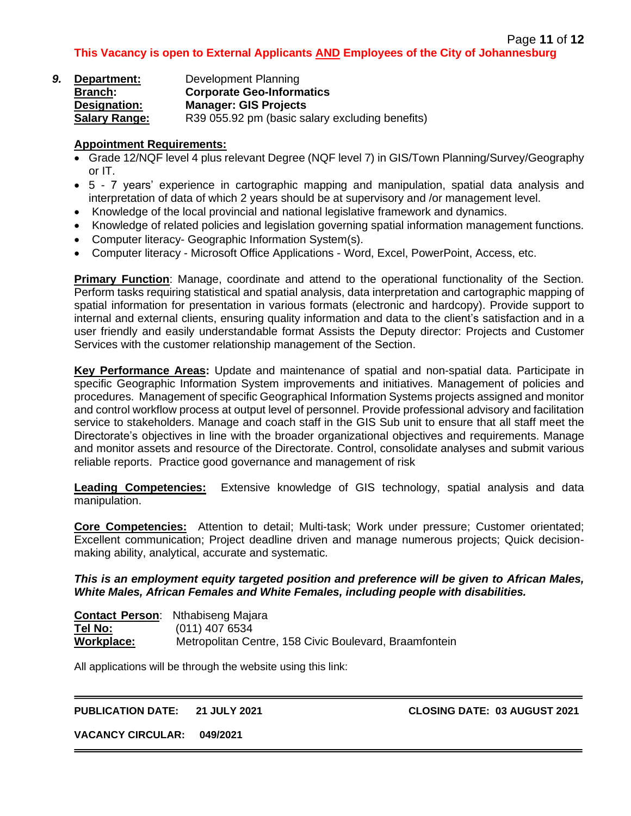| 9. | Department:          | Development Planning                            |
|----|----------------------|-------------------------------------------------|
|    | <b>Branch:</b>       | <b>Corporate Geo-Informatics</b>                |
|    | Designation:         | <b>Manager: GIS Projects</b>                    |
|    | <b>Salary Range:</b> | R39 055.92 pm (basic salary excluding benefits) |

# **Appointment Requirements:**

- Grade 12/NQF level 4 plus relevant Degree (NQF level 7) in GIS/Town Planning/Survey/Geography or IT.
- 5 7 years' experience in cartographic mapping and manipulation, spatial data analysis and interpretation of data of which 2 years should be at supervisory and /or management level.
- Knowledge of the local provincial and national legislative framework and dynamics.
- Knowledge of related policies and legislation governing spatial information management functions.
- Computer literacy- Geographic Information System(s).
- Computer literacy Microsoft Office Applications Word, Excel, PowerPoint, Access, etc.

**Primary Function**: Manage, coordinate and attend to the operational functionality of the Section. Perform tasks requiring statistical and spatial analysis, data interpretation and cartographic mapping of spatial information for presentation in various formats (electronic and hardcopy). Provide support to internal and external clients, ensuring quality information and data to the client's satisfaction and in a user friendly and easily understandable format Assists the Deputy director: Projects and Customer Services with the customer relationship management of the Section.

**Key Performance Areas:** Update and maintenance of spatial and non-spatial data. Participate in specific Geographic Information System improvements and initiatives. Management of policies and procedures. Management of specific Geographical Information Systems projects assigned and monitor and control workflow process at output level of personnel. Provide professional advisory and facilitation service to stakeholders. Manage and coach staff in the GIS Sub unit to ensure that all staff meet the Directorate's objectives in line with the broader organizational objectives and requirements. Manage and monitor assets and resource of the Directorate. Control, consolidate analyses and submit various reliable reports. Practice good governance and management of risk

**Leading Competencies:** Extensive knowledge of GIS technology, spatial analysis and data manipulation.

**Core Competencies:** Attention to detail; Multi-task; Work under pressure; Customer orientated; Excellent communication; Project deadline driven and manage numerous projects; Quick decisionmaking ability, analytical, accurate and systematic.

# *This is an employment equity targeted position and preference will be given to African Males, White Males, African Females and White Females, including people with disabilities.*

**Contact Person**: Nthabiseng Majara **Tel No:** (011) 407 6534 **Workplace:** Metropolitan Centre, 158 Civic Boulevard, Braamfontein

All applications will be through the website using this link:

# **PUBLICATION DATE: 21 JULY 2021 CLOSING DATE: 03 AUGUST 2021**